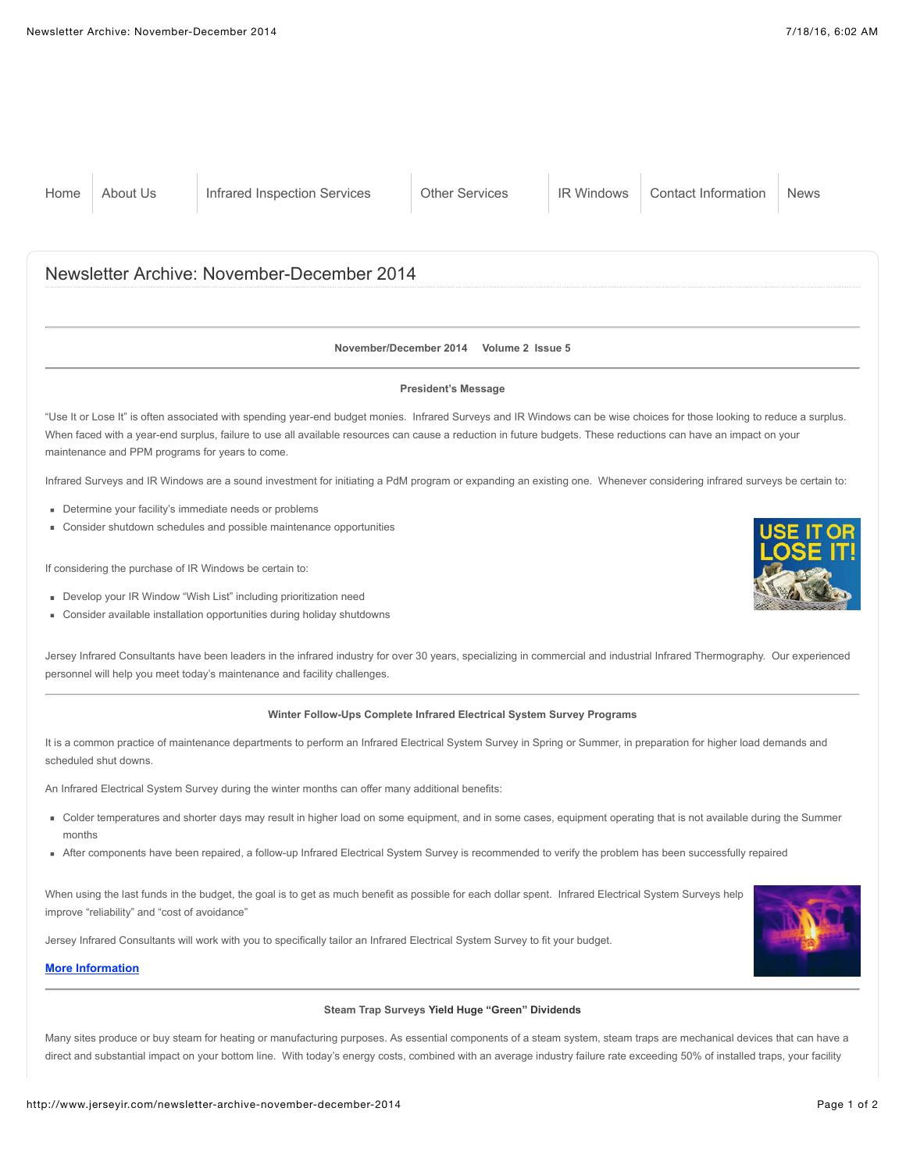#### **November/December 2014 Volume 2 Issue 5**

#### **President's Message**

"Use It or Lose It" is often associated with spending year-end budget monies. Infrared Surveys and IR Windows can be wise choices for those looking to reduce a surplus. When faced with a year-end surplus, failure to use all available resources can cause a reduction in future budgets. These reductions can have an impact on your maintenance and PPM programs for years to come.

Infrared Surveys and IR Windows are a sound investment for initiating a PdM program or expanding an existing one. Whenever considering infrared surveys be certain to:

- Determine your facility's immediate needs or problems
- Consider shutdown schedules and possible maintenance opportunities

If considering the purchase of IR Windows be certain to:

- Develop your IR Window "Wish List" including prioritization need
- Consider available installation opportunities during holiday shutdowns

Jersey Infrared Consultants have been leaders in the infrared industry for over 30 years, specializing in commercial and industrial Infrared Thermography. Our experienced personnel will help you meet today's maintenance and facility challenges.

#### **Winter Follow-Ups Complete Infrared Electrical System Survey Programs**

It is a common practice of maintenance departments to perform an Infrared Electrical System Survey in Spring or Summer, in preparation for higher load demands and scheduled shut downs.

An Infrared Electrical System Survey during the winter months can offer many additional benefits:

- Odder temperatures and shorter days may result in higher load on some equipment, and in some cases, equipment operating that is not available during the Summer months
- After components have been repaired, a follow-up Infrared Electrical System Survey is recommended to verify the problem has been successfully repaired

When using the last funds in the budget, the goal is to get as much benefit as possible for each dollar spent. Infrared Electrical System Surveys help improve "reliability" and "cost of avoidance"

Jersey Infrared Consultants will work with you to specifically tailor an Infrared Electrical System Survey to fit your budget.

# **[More Information](http://www.jerseyir.com/infrared-inspection-services/infrared-electrical-system)**

#### **Steam Trap Surveys Yield Huge "Green" Dividends**

Many sites produce or buy steam for heating or manufacturing purposes. As essential components of a steam system, steam traps are mechanical devices that can have a direct and substantial impact on your bottom line. With today's energy costs, combined with an average industry failure rate exceeding 50% of installed traps, your facility